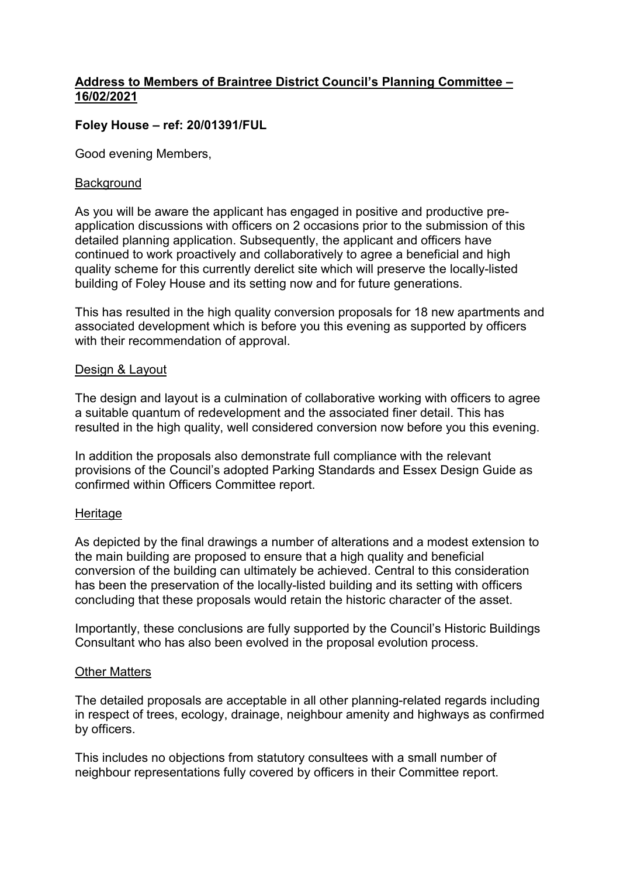### **Address to Members of Braintree District Council's Planning Committee – 16/02/2021**

## **Foley House – ref: 20/01391/FUL**

Good evening Members,

#### **Background**

As you will be aware the applicant has engaged in positive and productive preapplication discussions with officers on 2 occasions prior to the submission of this detailed planning application. Subsequently, the applicant and officers have continued to work proactively and collaboratively to agree a beneficial and high quality scheme for this currently derelict site which will preserve the locally-listed building of Foley House and its setting now and for future generations.

This has resulted in the high quality conversion proposals for 18 new apartments and associated development which is before you this evening as supported by officers with their recommendation of approval.

#### Design & Layout

The design and layout is a culmination of collaborative working with officers to agree a suitable quantum of redevelopment and the associated finer detail. This has resulted in the high quality, well considered conversion now before you this evening.

In addition the proposals also demonstrate full compliance with the relevant provisions of the Council's adopted Parking Standards and Essex Design Guide as confirmed within Officers Committee report.

#### Heritage

As depicted by the final drawings a number of alterations and a modest extension to the main building are proposed to ensure that a high quality and beneficial conversion of the building can ultimately be achieved. Central to this consideration has been the preservation of the locally-listed building and its setting with officers concluding that these proposals would retain the historic character of the asset.

Importantly, these conclusions are fully supported by the Council's Historic Buildings Consultant who has also been evolved in the proposal evolution process.

#### Other Matters

The detailed proposals are acceptable in all other planning-related regards including in respect of trees, ecology, drainage, neighbour amenity and highways as confirmed by officers.

This includes no objections from statutory consultees with a small number of neighbour representations fully covered by officers in their Committee report.